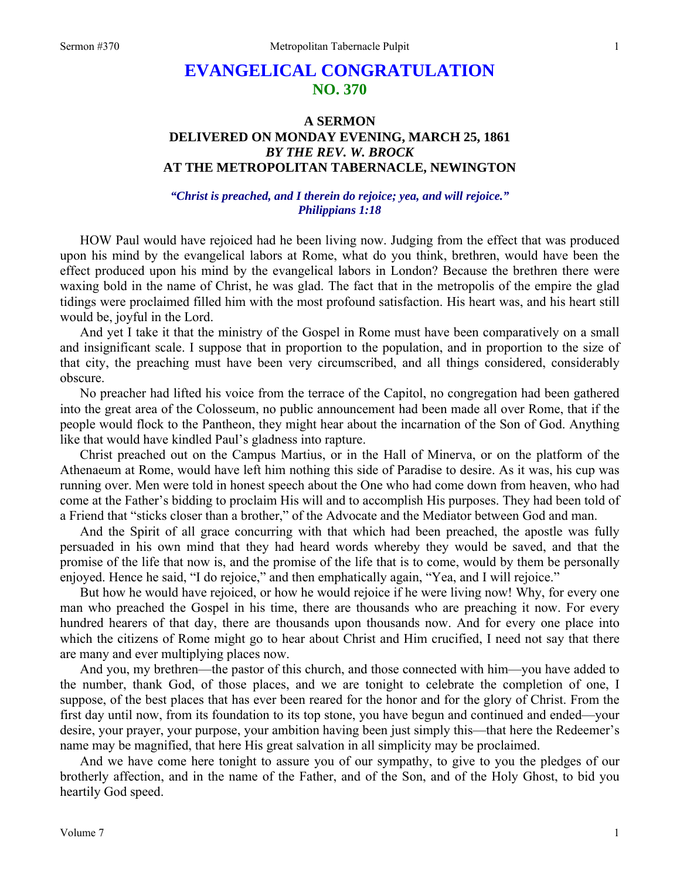## **EVANGELICAL CONGRATULATION NO. 370**

## **A SERMON DELIVERED ON MONDAY EVENING, MARCH 25, 1861**  *BY THE REV. W. BROCK*  **AT THE METROPOLITAN TABERNACLE, NEWINGTON**

*"Christ is preached, and I therein do rejoice; yea, and will rejoice." Philippians 1:18* 

HOW Paul would have rejoiced had he been living now. Judging from the effect that was produced upon his mind by the evangelical labors at Rome, what do you think, brethren, would have been the effect produced upon his mind by the evangelical labors in London? Because the brethren there were waxing bold in the name of Christ, he was glad. The fact that in the metropolis of the empire the glad tidings were proclaimed filled him with the most profound satisfaction. His heart was, and his heart still would be, joyful in the Lord.

And yet I take it that the ministry of the Gospel in Rome must have been comparatively on a small and insignificant scale. I suppose that in proportion to the population, and in proportion to the size of that city, the preaching must have been very circumscribed, and all things considered, considerably obscure.

No preacher had lifted his voice from the terrace of the Capitol, no congregation had been gathered into the great area of the Colosseum, no public announcement had been made all over Rome, that if the people would flock to the Pantheon, they might hear about the incarnation of the Son of God. Anything like that would have kindled Paul's gladness into rapture.

Christ preached out on the Campus Martius, or in the Hall of Minerva, or on the platform of the Athenaeum at Rome, would have left him nothing this side of Paradise to desire. As it was, his cup was running over. Men were told in honest speech about the One who had come down from heaven, who had come at the Father's bidding to proclaim His will and to accomplish His purposes. They had been told of a Friend that "sticks closer than a brother," of the Advocate and the Mediator between God and man.

And the Spirit of all grace concurring with that which had been preached, the apostle was fully persuaded in his own mind that they had heard words whereby they would be saved, and that the promise of the life that now is, and the promise of the life that is to come, would by them be personally enjoyed. Hence he said, "I do rejoice," and then emphatically again, "Yea, and I will rejoice."

But how he would have rejoiced, or how he would rejoice if he were living now! Why, for every one man who preached the Gospel in his time, there are thousands who are preaching it now. For every hundred hearers of that day, there are thousands upon thousands now. And for every one place into which the citizens of Rome might go to hear about Christ and Him crucified, I need not say that there are many and ever multiplying places now.

And you, my brethren—the pastor of this church, and those connected with him—you have added to the number, thank God, of those places, and we are tonight to celebrate the completion of one, I suppose, of the best places that has ever been reared for the honor and for the glory of Christ. From the first day until now, from its foundation to its top stone, you have begun and continued and ended—your desire, your prayer, your purpose, your ambition having been just simply this—that here the Redeemer's name may be magnified, that here His great salvation in all simplicity may be proclaimed.

And we have come here tonight to assure you of our sympathy, to give to you the pledges of our brotherly affection, and in the name of the Father, and of the Son, and of the Holy Ghost, to bid you heartily God speed.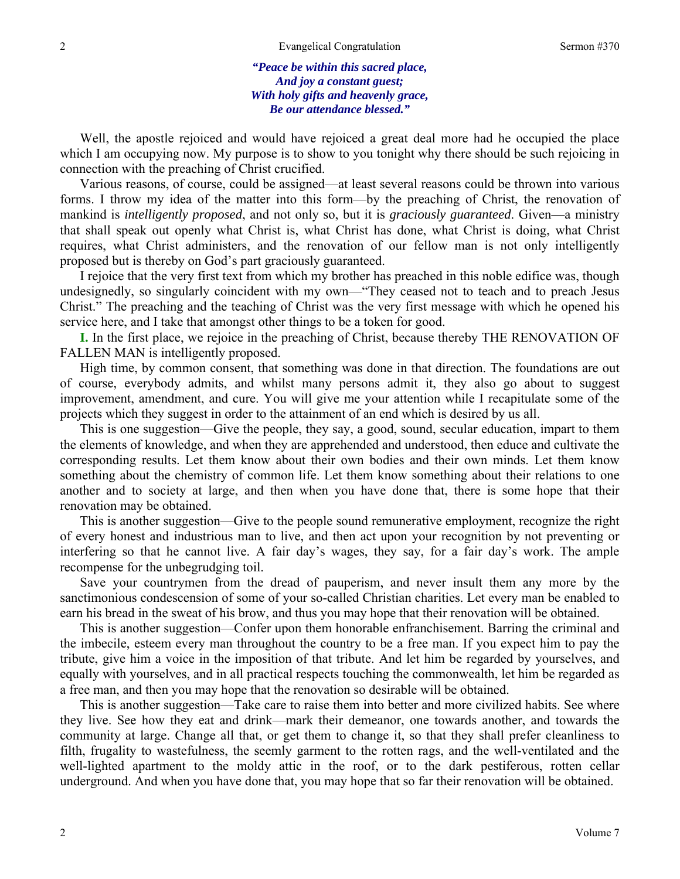*"Peace be within this sacred place, And joy a constant guest; With holy gifts and heavenly grace, Be our attendance blessed."* 

Well, the apostle rejoiced and would have rejoiced a great deal more had he occupied the place which I am occupying now. My purpose is to show to you tonight why there should be such rejoicing in connection with the preaching of Christ crucified.

Various reasons, of course, could be assigned—at least several reasons could be thrown into various forms. I throw my idea of the matter into this form—by the preaching of Christ, the renovation of mankind is *intelligently proposed*, and not only so, but it is *graciously guaranteed*. Given—a ministry that shall speak out openly what Christ is, what Christ has done, what Christ is doing, what Christ requires, what Christ administers, and the renovation of our fellow man is not only intelligently proposed but is thereby on God's part graciously guaranteed.

I rejoice that the very first text from which my brother has preached in this noble edifice was, though undesignedly, so singularly coincident with my own—"They ceased not to teach and to preach Jesus Christ." The preaching and the teaching of Christ was the very first message with which he opened his service here, and I take that amongst other things to be a token for good.

**I.** In the first place, we rejoice in the preaching of Christ, because thereby THE RENOVATION OF FALLEN MAN is intelligently proposed.

High time, by common consent, that something was done in that direction. The foundations are out of course, everybody admits, and whilst many persons admit it, they also go about to suggest improvement, amendment, and cure. You will give me your attention while I recapitulate some of the projects which they suggest in order to the attainment of an end which is desired by us all.

This is one suggestion—Give the people, they say, a good, sound, secular education, impart to them the elements of knowledge, and when they are apprehended and understood, then educe and cultivate the corresponding results. Let them know about their own bodies and their own minds. Let them know something about the chemistry of common life. Let them know something about their relations to one another and to society at large, and then when you have done that, there is some hope that their renovation may be obtained.

This is another suggestion—Give to the people sound remunerative employment, recognize the right of every honest and industrious man to live, and then act upon your recognition by not preventing or interfering so that he cannot live. A fair day's wages, they say, for a fair day's work. The ample recompense for the unbegrudging toil.

Save your countrymen from the dread of pauperism, and never insult them any more by the sanctimonious condescension of some of your so-called Christian charities. Let every man be enabled to earn his bread in the sweat of his brow, and thus you may hope that their renovation will be obtained.

This is another suggestion—Confer upon them honorable enfranchisement. Barring the criminal and the imbecile, esteem every man throughout the country to be a free man. If you expect him to pay the tribute, give him a voice in the imposition of that tribute. And let him be regarded by yourselves, and equally with yourselves, and in all practical respects touching the commonwealth, let him be regarded as a free man, and then you may hope that the renovation so desirable will be obtained.

This is another suggestion—Take care to raise them into better and more civilized habits. See where they live. See how they eat and drink—mark their demeanor, one towards another, and towards the community at large. Change all that, or get them to change it, so that they shall prefer cleanliness to filth, frugality to wastefulness, the seemly garment to the rotten rags, and the well-ventilated and the well-lighted apartment to the moldy attic in the roof, or to the dark pestiferous, rotten cellar underground. And when you have done that, you may hope that so far their renovation will be obtained.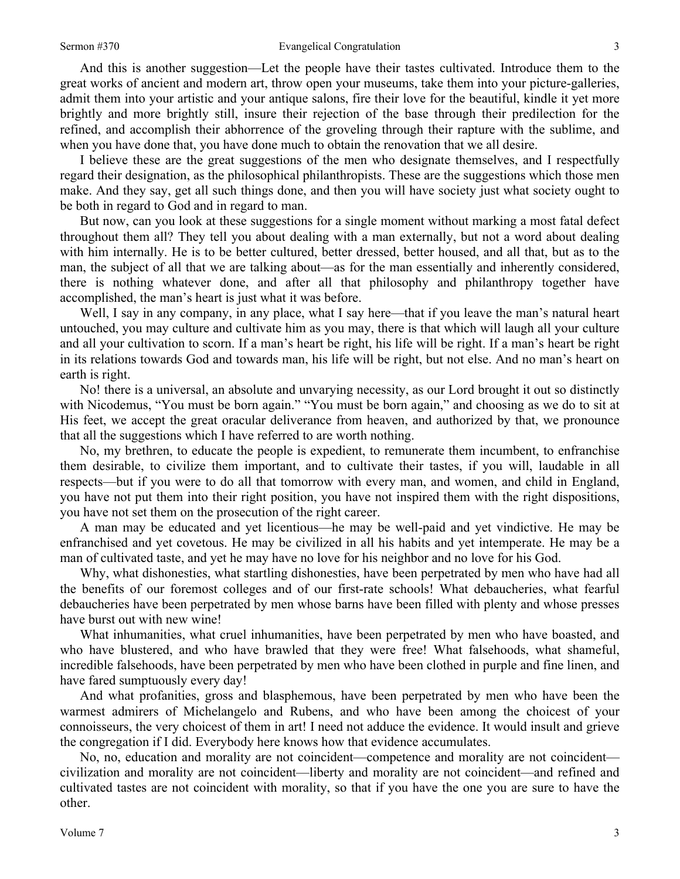## Sermon #370 Evangelical Congratulation

And this is another suggestion—Let the people have their tastes cultivated. Introduce them to the great works of ancient and modern art, throw open your museums, take them into your picture-galleries, admit them into your artistic and your antique salons, fire their love for the beautiful, kindle it yet more brightly and more brightly still, insure their rejection of the base through their predilection for the refined, and accomplish their abhorrence of the groveling through their rapture with the sublime, and when you have done that, you have done much to obtain the renovation that we all desire.

I believe these are the great suggestions of the men who designate themselves, and I respectfully regard their designation, as the philosophical philanthropists. These are the suggestions which those men make. And they say, get all such things done, and then you will have society just what society ought to be both in regard to God and in regard to man.

But now, can you look at these suggestions for a single moment without marking a most fatal defect throughout them all? They tell you about dealing with a man externally, but not a word about dealing with him internally. He is to be better cultured, better dressed, better housed, and all that, but as to the man, the subject of all that we are talking about—as for the man essentially and inherently considered, there is nothing whatever done, and after all that philosophy and philanthropy together have accomplished, the man's heart is just what it was before.

Well, I say in any company, in any place, what I say here—that if you leave the man's natural heart untouched, you may culture and cultivate him as you may, there is that which will laugh all your culture and all your cultivation to scorn. If a man's heart be right, his life will be right. If a man's heart be right in its relations towards God and towards man, his life will be right, but not else. And no man's heart on earth is right.

No! there is a universal, an absolute and unvarying necessity, as our Lord brought it out so distinctly with Nicodemus, "You must be born again." "You must be born again," and choosing as we do to sit at His feet, we accept the great oracular deliverance from heaven, and authorized by that, we pronounce that all the suggestions which I have referred to are worth nothing.

No, my brethren, to educate the people is expedient, to remunerate them incumbent, to enfranchise them desirable, to civilize them important, and to cultivate their tastes, if you will, laudable in all respects—but if you were to do all that tomorrow with every man, and women, and child in England, you have not put them into their right position, you have not inspired them with the right dispositions, you have not set them on the prosecution of the right career.

A man may be educated and yet licentious—he may be well-paid and yet vindictive. He may be enfranchised and yet covetous. He may be civilized in all his habits and yet intemperate. He may be a man of cultivated taste, and yet he may have no love for his neighbor and no love for his God.

Why, what dishonesties, what startling dishonesties, have been perpetrated by men who have had all the benefits of our foremost colleges and of our first-rate schools! What debaucheries, what fearful debaucheries have been perpetrated by men whose barns have been filled with plenty and whose presses have burst out with new wine!

What inhumanities, what cruel inhumanities, have been perpetrated by men who have boasted, and who have blustered, and who have brawled that they were free! What falsehoods, what shameful, incredible falsehoods, have been perpetrated by men who have been clothed in purple and fine linen, and have fared sumptuously every day!

And what profanities, gross and blasphemous, have been perpetrated by men who have been the warmest admirers of Michelangelo and Rubens, and who have been among the choicest of your connoisseurs, the very choicest of them in art! I need not adduce the evidence. It would insult and grieve the congregation if I did. Everybody here knows how that evidence accumulates.

No, no, education and morality are not coincident—competence and morality are not coincident civilization and morality are not coincident—liberty and morality are not coincident—and refined and cultivated tastes are not coincident with morality, so that if you have the one you are sure to have the other.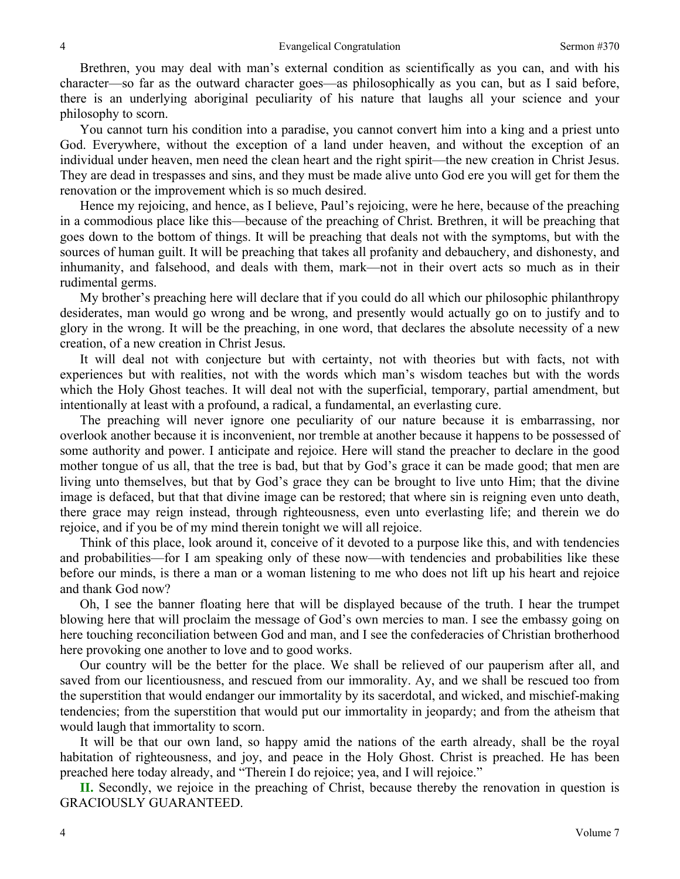Brethren, you may deal with man's external condition as scientifically as you can, and with his character—so far as the outward character goes—as philosophically as you can, but as I said before, there is an underlying aboriginal peculiarity of his nature that laughs all your science and your philosophy to scorn.

You cannot turn his condition into a paradise, you cannot convert him into a king and a priest unto God. Everywhere, without the exception of a land under heaven, and without the exception of an individual under heaven, men need the clean heart and the right spirit—the new creation in Christ Jesus. They are dead in trespasses and sins, and they must be made alive unto God ere you will get for them the renovation or the improvement which is so much desired.

Hence my rejoicing, and hence, as I believe, Paul's rejoicing, were he here, because of the preaching in a commodious place like this—because of the preaching of Christ*.* Brethren, it will be preaching that goes down to the bottom of things. It will be preaching that deals not with the symptoms, but with the sources of human guilt. It will be preaching that takes all profanity and debauchery, and dishonesty, and inhumanity, and falsehood, and deals with them, mark—not in their overt acts so much as in their rudimental germs.

My brother's preaching here will declare that if you could do all which our philosophic philanthropy desiderates, man would go wrong and be wrong, and presently would actually go on to justify and to glory in the wrong. It will be the preaching, in one word, that declares the absolute necessity of a new creation, of a new creation in Christ Jesus*.*

It will deal not with conjecture but with certainty, not with theories but with facts, not with experiences but with realities, not with the words which man's wisdom teaches but with the words which the Holy Ghost teaches. It will deal not with the superficial, temporary, partial amendment, but intentionally at least with a profound, a radical, a fundamental, an everlasting cure.

The preaching will never ignore one peculiarity of our nature because it is embarrassing, nor overlook another because it is inconvenient, nor tremble at another because it happens to be possessed of some authority and power. I anticipate and rejoice. Here will stand the preacher to declare in the good mother tongue of us all, that the tree is bad, but that by God's grace it can be made good; that men are living unto themselves, but that by God's grace they can be brought to live unto Him; that the divine image is defaced, but that that divine image can be restored; that where sin is reigning even unto death, there grace may reign instead, through righteousness, even unto everlasting life; and therein we do rejoice, and if you be of my mind therein tonight we will all rejoice.

Think of this place, look around it, conceive of it devoted to a purpose like this, and with tendencies and probabilities—for I am speaking only of these now—with tendencies and probabilities like these before our minds, is there a man or a woman listening to me who does not lift up his heart and rejoice and thank God now?

Oh, I see the banner floating here that will be displayed because of the truth. I hear the trumpet blowing here that will proclaim the message of God's own mercies to man. I see the embassy going on here touching reconciliation between God and man, and I see the confederacies of Christian brotherhood here provoking one another to love and to good works.

Our country will be the better for the place. We shall be relieved of our pauperism after all, and saved from our licentiousness, and rescued from our immorality. Ay, and we shall be rescued too from the superstition that would endanger our immortality by its sacerdotal, and wicked, and mischief-making tendencies; from the superstition that would put our immortality in jeopardy; and from the atheism that would laugh that immortality to scorn.

It will be that our own land, so happy amid the nations of the earth already, shall be the royal habitation of righteousness, and joy, and peace in the Holy Ghost. Christ is preached. He has been preached here today already, and "Therein I do rejoice; yea, and I will rejoice."

**II.** Secondly, we rejoice in the preaching of Christ, because thereby the renovation in question is GRACIOUSLY GUARANTEED.

4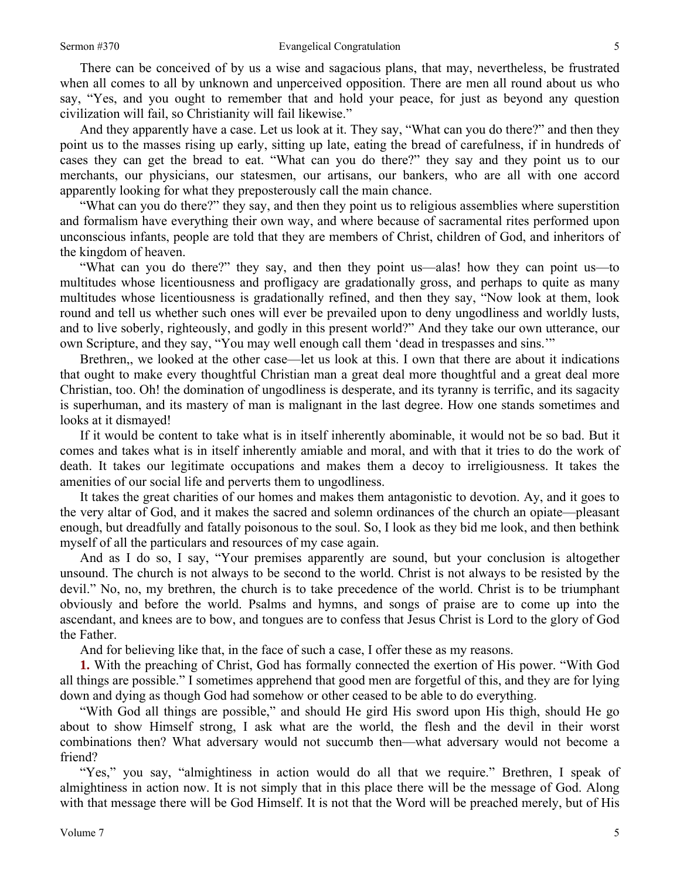There can be conceived of by us a wise and sagacious plans, that may, nevertheless, be frustrated when all comes to all by unknown and unperceived opposition. There are men all round about us who say, "Yes, and you ought to remember that and hold your peace, for just as beyond any question civilization will fail, so Christianity will fail likewise."

And they apparently have a case. Let us look at it. They say, "What can you do there?" and then they point us to the masses rising up early, sitting up late, eating the bread of carefulness, if in hundreds of cases they can get the bread to eat. "What can you do there?" they say and they point us to our merchants, our physicians, our statesmen, our artisans, our bankers, who are all with one accord apparently looking for what they preposterously call the main chance.

"What can you do there?" they say, and then they point us to religious assemblies where superstition and formalism have everything their own way, and where because of sacramental rites performed upon unconscious infants, people are told that they are members of Christ, children of God, and inheritors of the kingdom of heaven.

"What can you do there?" they say, and then they point us—alas! how they can point us—to multitudes whose licentiousness and profligacy are gradationally gross, and perhaps to quite as many multitudes whose licentiousness is gradationally refined, and then they say, "Now look at them, look round and tell us whether such ones will ever be prevailed upon to deny ungodliness and worldly lusts, and to live soberly, righteously, and godly in this present world?" And they take our own utterance, our own Scripture, and they say, "You may well enough call them 'dead in trespasses and sins.'"

Brethren,, we looked at the other case—let us look at this. I own that there are about it indications that ought to make every thoughtful Christian man a great deal more thoughtful and a great deal more Christian, too. Oh! the domination of ungodliness is desperate, and its tyranny is terrific, and its sagacity is superhuman, and its mastery of man is malignant in the last degree. How one stands sometimes and looks at it dismayed!

If it would be content to take what is in itself inherently abominable, it would not be so bad. But it comes and takes what is in itself inherently amiable and moral, and with that it tries to do the work of death. It takes our legitimate occupations and makes them a decoy to irreligiousness. It takes the amenities of our social life and perverts them to ungodliness.

It takes the great charities of our homes and makes them antagonistic to devotion. Ay, and it goes to the very altar of God, and it makes the sacred and solemn ordinances of the church an opiate—pleasant enough, but dreadfully and fatally poisonous to the soul. So, I look as they bid me look, and then bethink myself of all the particulars and resources of my case again.

And as I do so, I say, "Your premises apparently are sound, but your conclusion is altogether unsound. The church is not always to be second to the world. Christ is not always to be resisted by the devil." No, no, my brethren, the church is to take precedence of the world. Christ is to be triumphant obviously and before the world. Psalms and hymns, and songs of praise are to come up into the ascendant, and knees are to bow, and tongues are to confess that Jesus Christ is Lord to the glory of God the Father.

And for believing like that, in the face of such a case, I offer these as my reasons.

**1.** With the preaching of Christ, God has formally connected the exertion of His power. "With God all things are possible." I sometimes apprehend that good men are forgetful of this, and they are for lying down and dying as though God had somehow or other ceased to be able to do everything.

"With God all things are possible," and should He gird His sword upon His thigh, should He go about to show Himself strong, I ask what are the world, the flesh and the devil in their worst combinations then? What adversary would not succumb then—what adversary would not become a friend?

"Yes," you say, "almightiness in action would do all that we require." Brethren, I speak of almightiness in action now. It is not simply that in this place there will be the message of God. Along with that message there will be God Himself. It is not that the Word will be preached merely, but of His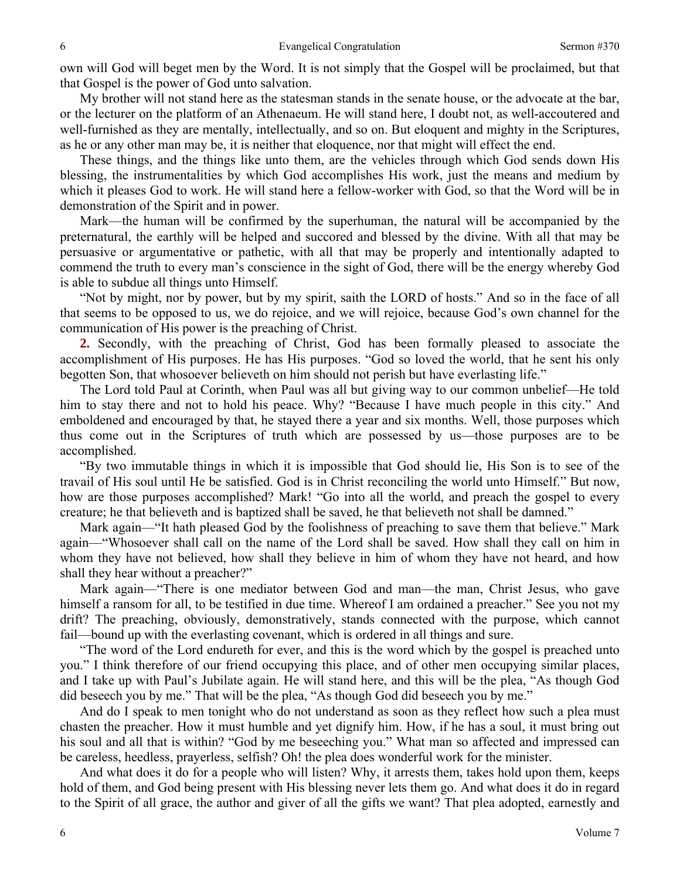own will God will beget men by the Word. It is not simply that the Gospel will be proclaimed, but that that Gospel is the power of God unto salvation.

My brother will not stand here as the statesman stands in the senate house, or the advocate at the bar, or the lecturer on the platform of an Athenaeum. He will stand here, I doubt not, as well-accoutered and well-furnished as they are mentally, intellectually, and so on. But eloquent and mighty in the Scriptures, as he or any other man may be, it is neither that eloquence, nor that might will effect the end.

These things, and the things like unto them, are the vehicles through which God sends down His blessing, the instrumentalities by which God accomplishes His work, just the means and medium by which it pleases God to work. He will stand here a fellow-worker with God, so that the Word will be in demonstration of the Spirit and in power.

Mark—the human will be confirmed by the superhuman, the natural will be accompanied by the preternatural, the earthly will be helped and succored and blessed by the divine. With all that may be persuasive or argumentative or pathetic, with all that may be properly and intentionally adapted to commend the truth to every man's conscience in the sight of God, there will be the energy whereby God is able to subdue all things unto Himself.

"Not by might, nor by power, but by my spirit, saith the LORD of hosts." And so in the face of all that seems to be opposed to us, we do rejoice, and we will rejoice, because God's own channel for the communication of His power is the preaching of Christ.

**2.** Secondly, with the preaching of Christ, God has been formally pleased to associate the accomplishment of His purposes. He has His purposes. "God so loved the world, that he sent his only begotten Son, that whosoever believeth on him should not perish but have everlasting life."

The Lord told Paul at Corinth, when Paul was all but giving way to our common unbelief—He told him to stay there and not to hold his peace. Why? "Because I have much people in this city." And emboldened and encouraged by that, he stayed there a year and six months. Well, those purposes which thus come out in the Scriptures of truth which are possessed by us—those purposes are to be accomplished.

"By two immutable things in which it is impossible that God should lie, His Son is to see of the travail of His soul until He be satisfied. God is in Christ reconciling the world unto Himself." But now, how are those purposes accomplished? Mark! "Go into all the world, and preach the gospel to every creature; he that believeth and is baptized shall be saved, he that believeth not shall be damned."

Mark again—"It hath pleased God by the foolishness of preaching to save them that believe." Mark again—"Whosoever shall call on the name of the Lord shall be saved. How shall they call on him in whom they have not believed, how shall they believe in him of whom they have not heard, and how shall they hear without a preacher?"

Mark again—"There is one mediator between God and man—the man, Christ Jesus, who gave himself a ransom for all, to be testified in due time. Whereof I am ordained a preacher." See you not my drift? The preaching, obviously, demonstratively, stands connected with the purpose, which cannot fail—bound up with the everlasting covenant, which is ordered in all things and sure.

"The word of the Lord endureth for ever, and this is the word which by the gospel is preached unto you." I think therefore of our friend occupying this place, and of other men occupying similar places, and I take up with Paul's Jubilate again. He will stand here, and this will be the plea, "As though God did beseech you by me." That will be the plea, "As though God did beseech you by me."

And do I speak to men tonight who do not understand as soon as they reflect how such a plea must chasten the preacher. How it must humble and yet dignify him. How, if he has a soul, it must bring out his soul and all that is within? "God by me beseeching you." What man so affected and impressed can be careless, heedless, prayerless, selfish? Oh! the plea does wonderful work for the minister.

And what does it do for a people who will listen? Why, it arrests them, takes hold upon them, keeps hold of them, and God being present with His blessing never lets them go. And what does it do in regard to the Spirit of all grace, the author and giver of all the gifts we want? That plea adopted, earnestly and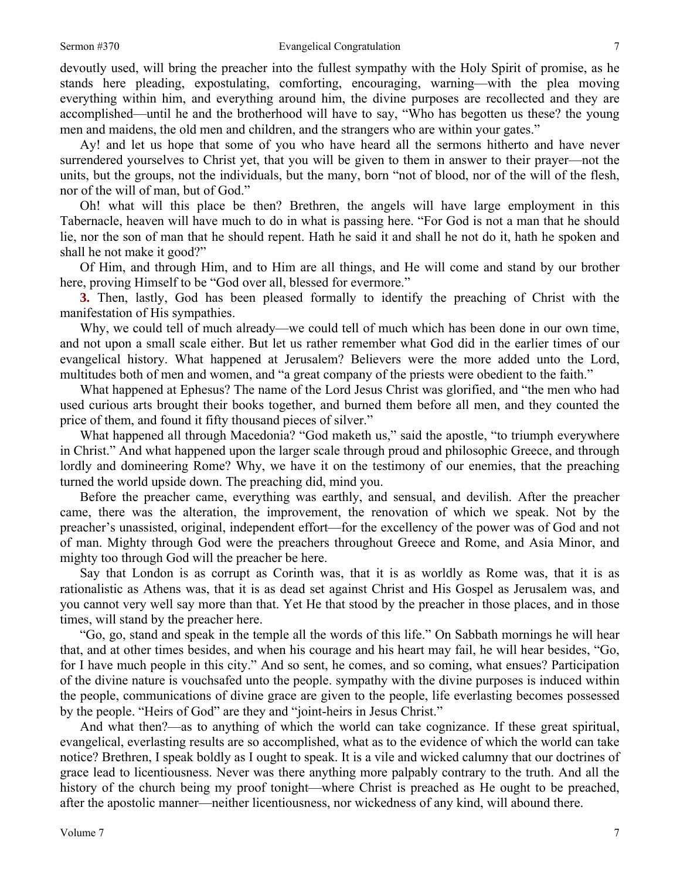devoutly used, will bring the preacher into the fullest sympathy with the Holy Spirit of promise, as he stands here pleading, expostulating, comforting, encouraging, warning—with the plea moving everything within him, and everything around him, the divine purposes are recollected and they are accomplished—until he and the brotherhood will have to say, "Who has begotten us these? the young men and maidens, the old men and children, and the strangers who are within your gates."

Ay! and let us hope that some of you who have heard all the sermons hitherto and have never surrendered yourselves to Christ yet, that you will be given to them in answer to their prayer—not the units, but the groups, not the individuals, but the many, born "not of blood, nor of the will of the flesh, nor of the will of man, but of God."

Oh! what will this place be then? Brethren, the angels will have large employment in this Tabernacle, heaven will have much to do in what is passing here. "For God is not a man that he should lie, nor the son of man that he should repent. Hath he said it and shall he not do it, hath he spoken and shall he not make it good?"

Of Him, and through Him, and to Him are all things, and He will come and stand by our brother here, proving Himself to be "God over all, blessed for evermore."

**3.** Then, lastly, God has been pleased formally to identify the preaching of Christ with the manifestation of His sympathies.

Why, we could tell of much already—we could tell of much which has been done in our own time, and not upon a small scale either. But let us rather remember what God did in the earlier times of our evangelical history. What happened at Jerusalem? Believers were the more added unto the Lord, multitudes both of men and women, and "a great company of the priests were obedient to the faith."

What happened at Ephesus? The name of the Lord Jesus Christ was glorified, and "the men who had used curious arts brought their books together, and burned them before all men, and they counted the price of them, and found it fifty thousand pieces of silver."

What happened all through Macedonia? "God maketh us," said the apostle, "to triumph everywhere in Christ." And what happened upon the larger scale through proud and philosophic Greece, and through lordly and domineering Rome? Why, we have it on the testimony of our enemies, that the preaching turned the world upside down. The preaching did, mind you.

Before the preacher came, everything was earthly, and sensual, and devilish. After the preacher came, there was the alteration, the improvement, the renovation of which we speak. Not by the preacher's unassisted, original, independent effort—for the excellency of the power was of God and not of man. Mighty through God were the preachers throughout Greece and Rome, and Asia Minor, and mighty too through God will the preacher be here.

Say that London is as corrupt as Corinth was, that it is as worldly as Rome was, that it is as rationalistic as Athens was, that it is as dead set against Christ and His Gospel as Jerusalem was, and you cannot very well say more than that. Yet He that stood by the preacher in those places, and in those times, will stand by the preacher here.

"Go, go, stand and speak in the temple all the words of this life." On Sabbath mornings he will hear that, and at other times besides, and when his courage and his heart may fail, he will hear besides, "Go, for I have much people in this city." And so sent, he comes, and so coming, what ensues? Participation of the divine nature is vouchsafed unto the people. sympathy with the divine purposes is induced within the people, communications of divine grace are given to the people, life everlasting becomes possessed by the people. "Heirs of God" are they and "joint-heirs in Jesus Christ."

And what then?—as to anything of which the world can take cognizance. If these great spiritual, evangelical, everlasting results are so accomplished, what as to the evidence of which the world can take notice? Brethren, I speak boldly as I ought to speak. It is a vile and wicked calumny that our doctrines of grace lead to licentiousness. Never was there anything more palpably contrary to the truth. And all the history of the church being my proof tonight—where Christ is preached as He ought to be preached, after the apostolic manner—neither licentiousness, nor wickedness of any kind, will abound there.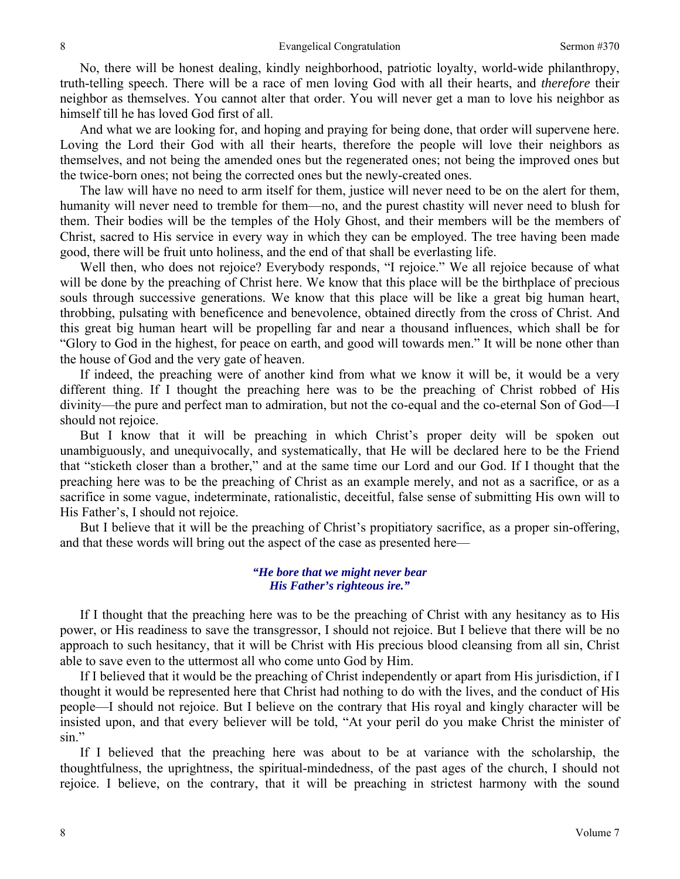No, there will be honest dealing, kindly neighborhood, patriotic loyalty, world-wide philanthropy, truth-telling speech. There will be a race of men loving God with all their hearts, and *therefore* their neighbor as themselves. You cannot alter that order. You will never get a man to love his neighbor as himself till he has loved God first of all.

And what we are looking for, and hoping and praying for being done, that order will supervene here. Loving the Lord their God with all their hearts, therefore the people will love their neighbors as themselves, and not being the amended ones but the regenerated ones; not being the improved ones but the twice-born ones; not being the corrected ones but the newly-created ones.

The law will have no need to arm itself for them, justice will never need to be on the alert for them, humanity will never need to tremble for them—no, and the purest chastity will never need to blush for them. Their bodies will be the temples of the Holy Ghost, and their members will be the members of Christ, sacred to His service in every way in which they can be employed. The tree having been made good, there will be fruit unto holiness, and the end of that shall be everlasting life.

Well then, who does not rejoice? Everybody responds, "I rejoice." We all rejoice because of what will be done by the preaching of Christ here. We know that this place will be the birthplace of precious souls through successive generations. We know that this place will be like a great big human heart, throbbing, pulsating with beneficence and benevolence, obtained directly from the cross of Christ. And this great big human heart will be propelling far and near a thousand influences, which shall be for "Glory to God in the highest, for peace on earth, and good will towards men." It will be none other than the house of God and the very gate of heaven.

If indeed, the preaching were of another kind from what we know it will be, it would be a very different thing. If I thought the preaching here was to be the preaching of Christ robbed of His divinity—the pure and perfect man to admiration, but not the co-equal and the co-eternal Son of God—I should not rejoice.

But I know that it will be preaching in which Christ's proper deity will be spoken out unambiguously, and unequivocally, and systematically, that He will be declared here to be the Friend that "sticketh closer than a brother," and at the same time our Lord and our God. If I thought that the preaching here was to be the preaching of Christ as an example merely, and not as a sacrifice, or as a sacrifice in some vague, indeterminate, rationalistic, deceitful, false sense of submitting His own will to His Father's, I should not rejoice.

But I believe that it will be the preaching of Christ's propitiatory sacrifice, as a proper sin-offering, and that these words will bring out the aspect of the case as presented here—

## *"He bore that we might never bear His Father's righteous ire."*

If I thought that the preaching here was to be the preaching of Christ with any hesitancy as to His power, or His readiness to save the transgressor, I should not rejoice. But I believe that there will be no approach to such hesitancy, that it will be Christ with His precious blood cleansing from all sin, Christ able to save even to the uttermost all who come unto God by Him.

If I believed that it would be the preaching of Christ independently or apart from His jurisdiction, if I thought it would be represented here that Christ had nothing to do with the lives, and the conduct of His people—I should not rejoice. But I believe on the contrary that His royal and kingly character will be insisted upon, and that every believer will be told, "At your peril do you make Christ the minister of sin."

If I believed that the preaching here was about to be at variance with the scholarship, the thoughtfulness, the uprightness, the spiritual-mindedness, of the past ages of the church, I should not rejoice. I believe, on the contrary, that it will be preaching in strictest harmony with the sound

8